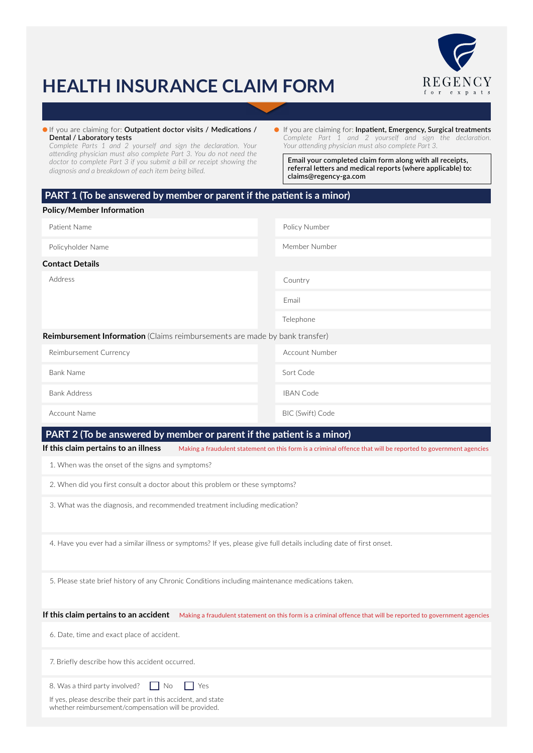

## **HEALTH INSURANCE CLAIM FORM**

If you are claiming for: **Outpatient doctor visits / Medications / Dental / Laboratory tests**

*Complete Parts 1 and 2 yourself and sign the declaration. Your attending physician must also complete Part 3. You do not need the doctor to complete Part 3 if you submit a bill or receipt showing the diagnosis and a breakdown of each item being billed.*

If you are claiming for: **Inpatient, Emergency, Surgical treatments** *Complete Part 1 and 2 yourself and sign the declaration. Your attending physician must also complete Part 3.*

**Email your completed claim form along with all receipts, referral letters and medical reports (where applicable) to: claims@regency-ga.com**

## **PART 1 (To be answered by member or parent if the patient is a minor)**

| <b>Policy/Member Information</b>                                            |                         |
|-----------------------------------------------------------------------------|-------------------------|
| Patient Name                                                                | Policy Number           |
| Policyholder Name                                                           | Member Number           |
| <b>Contact Details</b>                                                      |                         |
| Address                                                                     | Country                 |
|                                                                             | Email                   |
|                                                                             | Telephone               |
| Reimbursement Information (Claims reimbursements are made by bank transfer) |                         |
| Reimbursement Currency                                                      | <b>Account Number</b>   |
| <b>Bank Name</b>                                                            | Sort Code               |
| <b>Bank Address</b>                                                         | <b>IBAN Code</b>        |
| Account Name                                                                | <b>BIC (Swift) Code</b> |

## **PART 2 (To be answered by member or parent if the patient is a minor)**

**If this claim pertains to an illness** Making a fraudulent statement on this form is a criminal offence that will be reported to government agencies

1. When was the onset of the signs and symptoms?

2. When did you first consult a doctor about this problem or these symptoms?

3. What was the diagnosis, and recommended treatment including medication?

4. Have you ever had a similar illness or symptoms? If yes, please give full details including date of first onset.

5. Please state brief history of any Chronic Conditions including maintenance medications taken.

**If this claim pertains to an accident** Making a fraudulent statement on this form is a criminal offence that will be reported to government agencies

6. Date, time and exact place of accident.

7. Briefly describe how this accident occurred.

| 8. Was a third party involved? No Stress |  |  |  |  |
|------------------------------------------|--|--|--|--|
|------------------------------------------|--|--|--|--|

If yes, please describe their part in this accident, and state whether reimbursement/compensation will be provided.